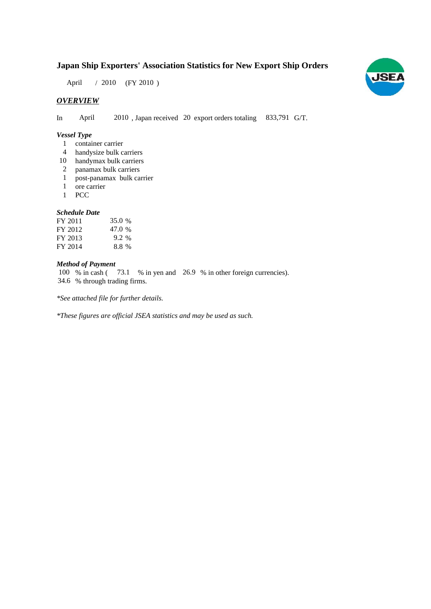## **Japan Ship Exporters' Association Statistics for New Export Ship Orders**

April / 2010 (FY 2010)

## *OVERVIEW*

In April 2010, Japan received 20 export orders totaling 833,791 G/T.

#### *Vessel Type*

- container carrier 1
- handysize bulk carriers 4
- 10 handymax bulk carriers
- panamax bulk carriers 2
- post-panamax bulk carrier 1
- ore carrier 1
- **PCC** 1

### *Schedule Date*

| FY 2011 | 35.0 % |
|---------|--------|
| FY 2012 | 47.0 % |
| FY 2013 | 9.2 %  |
| FY 2014 | 8.8%   |

## *Method of Payment*

100 % in cash (73.1 % in yen and 26.9 % in other foreign currencies). % through trading firms. 34.6

*\*See attached file for further details.*

*\*These figures are official JSEA statistics and may be used as such.*

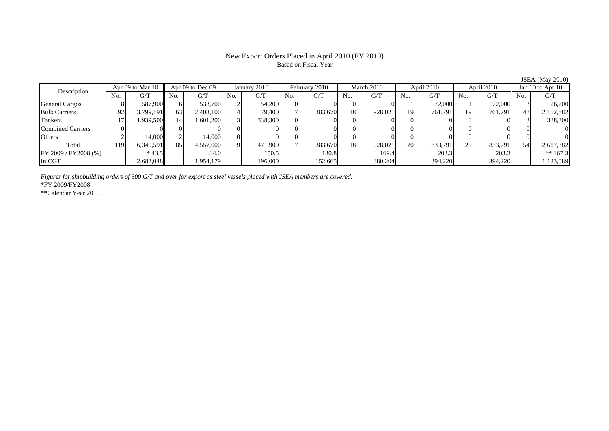#### New Export Orders Placed in April 2010 (FY 2010) Based on Fiscal Year

JSEA (May 2010)

| Apr 09 to Mar 10<br>Description |     |           | Apr 09 to Dec 09 |           | January 2010 |         | February 2010 |         | March 2010 |         | April 2010 |         | April 2010 |          | Jan 10 to Apr 10 |            |
|---------------------------------|-----|-----------|------------------|-----------|--------------|---------|---------------|---------|------------|---------|------------|---------|------------|----------|------------------|------------|
|                                 | No. | G/T       | No.              | G/T       | No.          | G/T     | No.           | G/T     | No.        | G/T     | No.        | G/T     | No.        | G/T      | No.              | G/T        |
| <b>General Cargos</b>           |     | 587.900   |                  | 533,700   |              | 54,200  |               |         |            |         |            | 72,000  |            | 72,000   |                  | 126,200    |
| <b>Bulk Carriers</b>            | 92  | 3,799,191 | 63               | 2,408,100 |              | 79.400  |               | 383,670 | 18         | 928,021 | 19         | 761,791 | 19         | 761.791l | 48               | 2,152,882  |
| Tankers                         |     | !939,500  | 14               | 1.601.200 |              | 338,300 |               |         |            |         |            |         |            |          |                  | 338,300    |
| Combined Carriers               |     |           |                  |           |              |         |               |         |            |         |            |         |            |          |                  |            |
| Others                          |     | 14.000    |                  | 14.000    |              |         |               |         |            |         |            |         |            |          |                  |            |
| Total                           | 119 | 6,340,591 | 85               | 4,557,000 |              | 471,900 |               | 383,670 | 18         | 928,021 | 20         | 833,791 | 20         | 833,791  | 54               | 2,617,382  |
| FY 2009 / FY 2008 (%)           |     | $*43.5$   |                  | 34.0      |              | 150.5   |               | 130.8   |            | 169.4   |            | 203.3   |            | 203.3    |                  | ** $167.3$ |
| In CGT                          |     | 2,683,048 |                  | 1,954,179 |              | 196,000 |               | 152,665 |            | 380,204 |            | 394,220 |            | 394,220  |                  | ,123,089   |

*Figures for shipbuilding orders of 500 G/T and over for export as steel vessels placed with JSEA members are covered.*

\*FY 2009/FY2008

\*\*Calendar Year 2010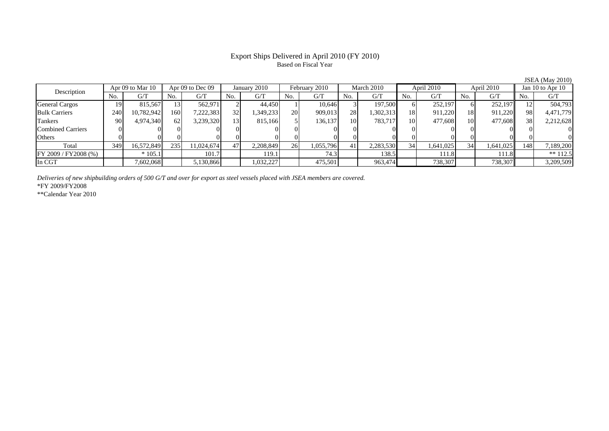#### Export Ships Delivered in April 2010 (FY 2010) Based on Fiscal Year

JSEA (May 2010)

| Apr 09 to Mar 10<br>Description |     | Apr 09 to Dec 09 |     |            | January 2010 |           | February 2010 |           | March 2010 |           | April 2010 |           | April 2010     |           | Jan 10 to Apr $10$ |            |
|---------------------------------|-----|------------------|-----|------------|--------------|-----------|---------------|-----------|------------|-----------|------------|-----------|----------------|-----------|--------------------|------------|
|                                 | No. | G/T              | No. | G/T        | No.          | G/T       | No.           | G/T       | No.        | G/T       | No.        | G/T       | N <sub>O</sub> | G/T       | No.                | G/T        |
| <b>General Cargos</b>           | 19  | 815,567          |     | 562.971    |              | 44.450    |               | 10.646    |            | 197,500   |            | 252,197   |                | 252,197   |                    | 504,793    |
| <b>Bulk Carriers</b>            | 240 | 10,782,942       | 160 | 7,222,383  | 32           | ,349,233  | <b>20</b>     | 909,013   | 28         | 1,302,313 | 18         | 911,220   | 18             | 911,220   | 98.                | 4,471,779  |
| Tankers                         | 90  | 4,974,340        | 62  | 3,239,320  | 13.          | 815,166   |               | 136,137   | 10         | 783.717   | 10         | 477,608   | 10             | 477,608   | 38                 | 2,212,628  |
| Combined Carriers               |     |                  |     |            |              |           |               |           |            |           |            |           |                |           |                    | $\Omega$   |
| <b>Others</b>                   |     |                  |     |            |              |           |               |           |            |           |            |           |                |           |                    |            |
| Total                           | 349 | 16,572,849       | 235 | 11.024.674 | 47           | 2,208,849 | 26            | 1,055,796 | 41         | 2,283,530 | 34         | 1,641,025 | 34             | 1,641,025 | 148                | 7,189,200  |
| $FY$ 2009 / FY 2008 (%)         |     | $*105.1$         |     | 101.7      |              | 119.1     |               | 74.3      |            | 138.5     |            | 111.8     |                | 111.8     |                    | $** 112.5$ |
| In CGT                          |     | 7,602,068        |     | 5,130,866  |              | 1,032,227 |               | 475,501   |            | 963,474   |            | 738,307   |                | 738,307   |                    | 3,209,509  |

*Deliveries of new shipbuilding orders of 500 G/T and over for export as steel vessels placed with JSEA members are covered.*

\*FY 2009/FY2008

\*\*Calendar Year 2010